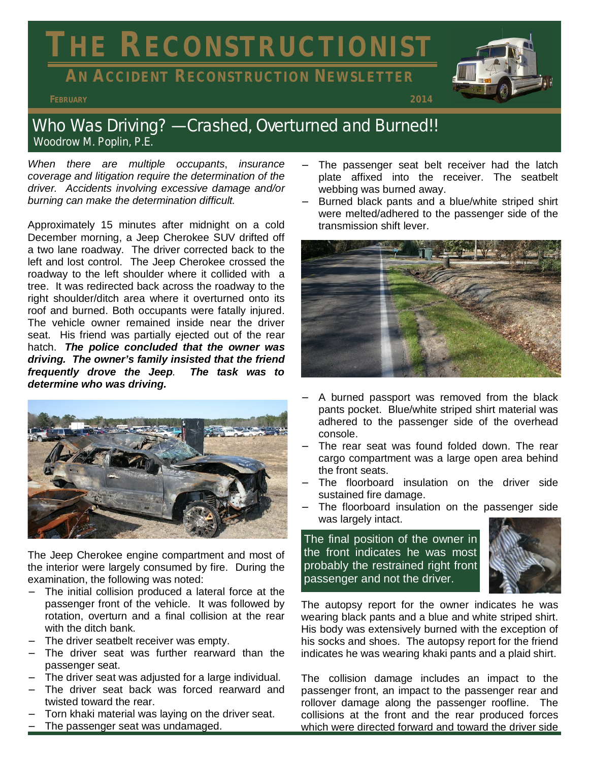# **THE RECONSTRUCTIONIST**

# **AN ACCIDENT RECONSTRUCTION NEWSLETTER**



## Who Was Driving? — Crashed, Overturned and Burned!! *Woodrow M. Poplin, P.E.*

*When there are multiple occupants*, *insurance coverage and litigation require the determination of the driver. Accidents involving excessive damage and/or burning can make the determination difficult.* 

Approximately 15 minutes after midnight on a cold December morning, a Jeep Cherokee SUV drifted off a two lane roadway. The driver corrected back to the left and lost control. The Jeep Cherokee crossed the roadway to the left shoulder where it collided with a tree. It was redirected back across the roadway to the right shoulder/ditch area where it overturned onto its roof and burned. Both occupants were fatally injured. The vehicle owner remained inside near the driver seat. His friend was partially ejected out of the rear hatch. *The police concluded that the owner was driving. The owner's family insisted that the friend frequently drove the Jeep. The task was to determine who was driving.* 



The Jeep Cherokee engine compartment and most of the interior were largely consumed by fire. During the examination, the following was noted:

- The initial collision produced a lateral force at the passenger front of the vehicle. It was followed by rotation, overturn and a final collision at the rear with the ditch bank.
- The driver seatbelt receiver was empty.
- The driver seat was further rearward than the passenger seat.
- The driver seat was adjusted for a large individual.
- The driver seat back was forced rearward and twisted toward the rear.
- Torn khaki material was laying on the driver seat.
- The passenger seat was undamaged.
- − The passenger seat belt receiver had the latch plate affixed into the receiver. The seatbelt webbing was burned away.
- Burned black pants and a blue/white striped shirt were melted/adhered to the passenger side of the transmission shift lever.



- A burned passport was removed from the black pants pocket. Blue/white striped shirt material was adhered to the passenger side of the overhead console.
- The rear seat was found folded down. The rear cargo compartment was a large open area behind the front seats.
- The floorboard insulation on the driver side sustained fire damage.
- The floorboard insulation on the passenger side was largely intact.

The final position of the owner in the front indicates he was most probably the restrained right front passenger and not the driver.



The autopsy report for the owner indicates he was wearing black pants and a blue and white striped shirt. His body was extensively burned with the exception of his socks and shoes. The autopsy report for the friend indicates he was wearing khaki pants and a plaid shirt.

The collision damage includes an impact to the passenger front, an impact to the passenger rear and rollover damage along the passenger roofline. The collisions at the front and the rear produced forces which were directed forward and toward the driver side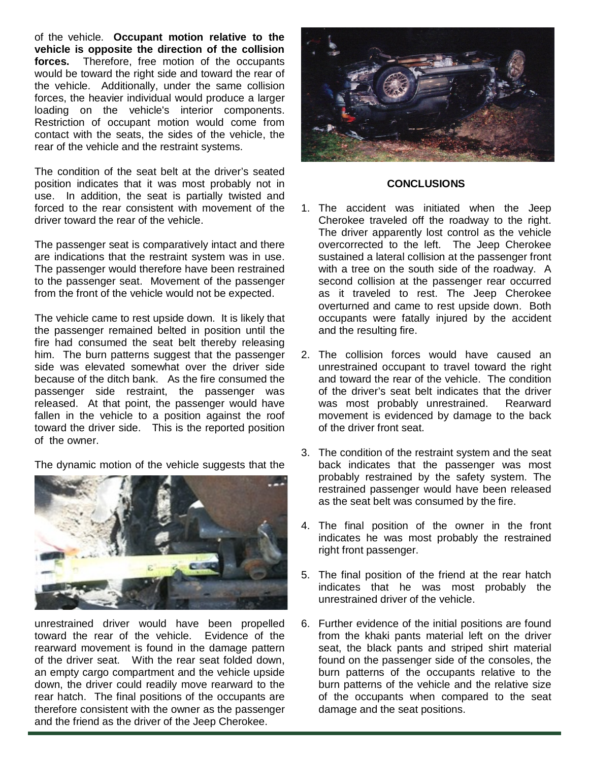of the vehicle. **Occupant motion relative to the vehicle is opposite the direction of the collision forces.** Therefore, free motion of the occupants would be toward the right side and toward the rear of the vehicle. Additionally, under the same collision forces, the heavier individual would produce a larger loading on the vehicle's interior components. Restriction of occupant motion would come from contact with the seats, the sides of the vehicle, the rear of the vehicle and the restraint systems.

The condition of the seat belt at the driver's seated position indicates that it was most probably not in use. In addition, the seat is partially twisted and forced to the rear consistent with movement of the driver toward the rear of the vehicle.

The passenger seat is comparatively intact and there are indications that the restraint system was in use. The passenger would therefore have been restrained to the passenger seat. Movement of the passenger from the front of the vehicle would not be expected.

The vehicle came to rest upside down. It is likely that the passenger remained belted in position until the fire had consumed the seat belt thereby releasing him. The burn patterns suggest that the passenger side was elevated somewhat over the driver side because of the ditch bank. As the fire consumed the passenger side restraint, the passenger was released. At that point, the passenger would have fallen in the vehicle to a position against the roof toward the driver side. This is the reported position of the owner.

The dynamic motion of the vehicle suggests that the



unrestrained driver would have been propelled toward the rear of the vehicle. Evidence of the rearward movement is found in the damage pattern of the driver seat. With the rear seat folded down, an empty cargo compartment and the vehicle upside down, the driver could readily move rearward to the rear hatch. The final positions of the occupants are therefore consistent with the owner as the passenger and the friend as the driver of the Jeep Cherokee.



#### **CONCLUSIONS**

- 1. The accident was initiated when the Jeep Cherokee traveled off the roadway to the right. The driver apparently lost control as the vehicle overcorrected to the left. The Jeep Cherokee sustained a lateral collision at the passenger front with a tree on the south side of the roadway. A second collision at the passenger rear occurred as it traveled to rest. The Jeep Cherokee overturned and came to rest upside down. Both occupants were fatally injured by the accident and the resulting fire.
- 2. The collision forces would have caused an unrestrained occupant to travel toward the right and toward the rear of the vehicle. The condition of the driver's seat belt indicates that the driver was most probably unrestrained. Rearward movement is evidenced by damage to the back of the driver front seat.
- 3. The condition of the restraint system and the seat back indicates that the passenger was most probably restrained by the safety system. The restrained passenger would have been released as the seat belt was consumed by the fire.
- 4. The final position of the owner in the front indicates he was most probably the restrained right front passenger.
- 5. The final position of the friend at the rear hatch indicates that he was most probably the unrestrained driver of the vehicle.
- 6. Further evidence of the initial positions are found from the khaki pants material left on the driver seat, the black pants and striped shirt material found on the passenger side of the consoles, the burn patterns of the occupants relative to the burn patterns of the vehicle and the relative size of the occupants when compared to the seat damage and the seat positions.